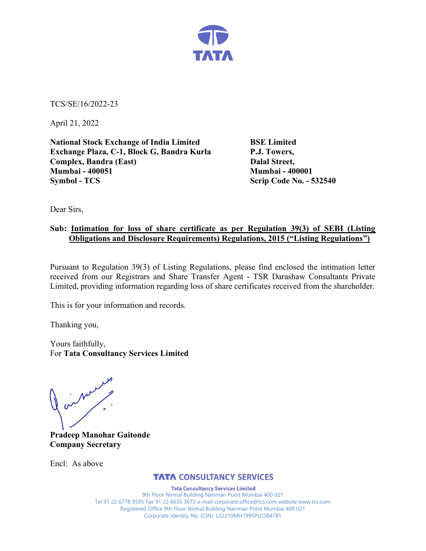

TCS/SE/16/2022-23

April 21, 2022

National Stock Exchange of India Limited BSE Limited Exchange Plaza, C-1, Block G, Bandra Kurla P.J. Towers, Complex, Bandra (East) Dalal Street, Mumbai - 400051 Mumbai - 400001 Symbol - TCS Scrip Code No. - 532540

Dear Sirs,

### Sub: Intimation for loss of share certificate as per Regulation 39(3) of SEBI (Listing Obligations and Disclosure Requirements) Regulations, 2015 ("Listing Regulations")

Pursuant to Regulation 39(3) of Listing Regulations, please find enclosed the intimation letter received from our Registrars and Share Transfer Agent - TSR Darashaw Consultants Private Limited, providing information regarding loss of share certificates received from the shareholder.

This is for your information and records.

Thanking you,

Yours faithfully, For Tata Consultancy Services Limited

on Man

Pradeep Manohar Gaitonde Company Secretary

Encl: As above

# **TATA CONSULTANCY SERVICES**

**Tata Consultancy Services Limited** 9th Floor Nirmal Building Nariman Point Mumbai 400 021 Tel 91 22 6778 9595 Fax 91 22 6630 3672 e-mail corporate.office@tcs.com website www.tcs.com Registered Office 9th Floor Nirmal Building Nariman Point Mumbai 400 021 Corporate Identity No. (CIN): L22210MH1995PLC084781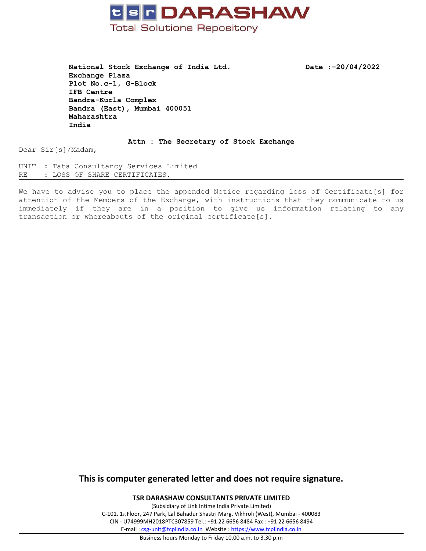

**National Stock Exchange of India Ltd. Date :-20/04/2022 Exchange Plaza Plot No.c-1, G-Block IFB Centre Bandra-Kurla Complex Bandra (East), Mumbai 400051 Maharashtra India**

#### **Attn : The Secretary of Stock Exchange**

Dear Sir[s]/Madam,

UNIT : Tata Consultancy Services Limited RE : LOSS OF SHARE CERTIFICATES.

We have to advise you to place the appended Notice regarding loss of Certificate[s] for attention of the Members of the Exchange, with instructions that they communicate to us immediately if they are in <sup>a</sup> position to give us information relating to any transaction or whereabouts of the original certificate[s].

# **This is computer generated letter and does not require signature.**

**TSR DARASHAW CONSULTANTS PRIVATE LIMITED**

(Subsidiary of Link Intime India Private Limited) C-101, 1st Floor, 247 Park, Lal Bahadur Shastri Marg, Vikhroli (West), Mumbai - 400083 CIN - U74999MH2018PTC307859 Tel.: +91 22 6656 8484 Fax : +91 22 6656 8494 E-mail : [csg-unit@tcplindia.co.in](mailto:csg-unit@tcplindia.co.in) Website : <https://www.tcplindia.co.in>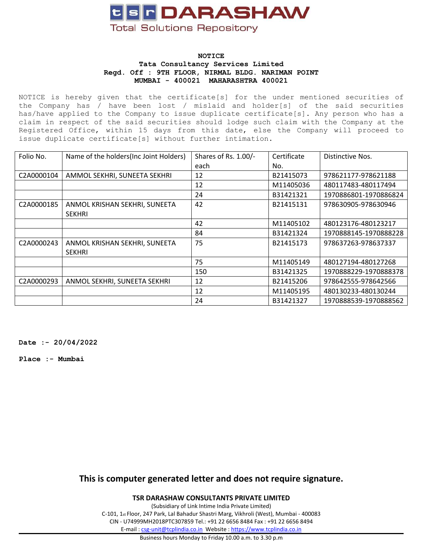

### **NOTICE Tata Consultancy Services Limited Regd. Off : 9TH FLOOR, NIRMAL BLDG. NARIMAN POINT MUMBAI - 400021 MAHARASHTRA 400021**

NOTICE is hereby given that the certificate[s] for the under mentioned securities of the Company has / have been lost / mislaid and holder[s] of the said securities has/have applied to the Company to issue duplicate certificate[s]. Any person who has <sup>a</sup> claim in respect of the said securities should lodge such claim with the Company at the Registered Office, within 15 days from this date, else the Company will proceed to issue duplicate certificate[s] without further intimation.

| Folio No.  | Name of the holders (Inc Joint Holders)        | Shares of Rs. 1.00/- | Certificate | Distinctive Nos.      |
|------------|------------------------------------------------|----------------------|-------------|-----------------------|
|            |                                                | each                 | No.         |                       |
| C2A0000104 | AMMOL SEKHRI, SUNEETA SEKHRI                   | 12                   | B21415073   | 978621177-978621188   |
|            |                                                | 12                   | M11405036   | 480117483-480117494   |
|            |                                                | 24                   | B31421321   | 1970886801-1970886824 |
| C2A0000185 | ANMOL KRISHAN SEKHRI, SUNEETA<br><b>SEKHRI</b> | 42                   | B21415131   | 978630905-978630946   |
|            |                                                | 42                   | M11405102   | 480123176-480123217   |
|            |                                                | 84                   | B31421324   | 1970888145-1970888228 |
| C2A0000243 | ANMOL KRISHAN SEKHRI, SUNEETA<br><b>SEKHRI</b> | 75                   | B21415173   | 978637263-978637337   |
|            |                                                | 75                   | M11405149   | 480127194-480127268   |
|            |                                                | 150                  | B31421325   | 1970888229-1970888378 |
| C2A0000293 | ANMOL SEKHRI, SUNEETA SEKHRI                   | 12                   | B21415206   | 978642555-978642566   |
|            |                                                | 12                   | M11405195   | 480130233-480130244   |
|            |                                                | 24                   | B31421327   | 1970888539-1970888562 |

**Date :- 20/04/2022**

**Place :- Mumbai**

# **This is computer generated letter and does not require signature.**

**TSR DARASHAW CONSULTANTS PRIVATE LIMITED**

(Subsidiary of Link Intime India Private Limited) C-101, 1st Floor, 247 Park, Lal Bahadur Shastri Marg, Vikhroli (West), Mumbai - 400083 CIN - U74999MH2018PTC307859 Tel.: +91 22 6656 8484 Fax : +91 22 6656 8494 E-mail : [csg-unit@tcplindia.co.in](mailto:csg-unit@tcplindia.co.in) Website : <https://www.tcplindia.co.in>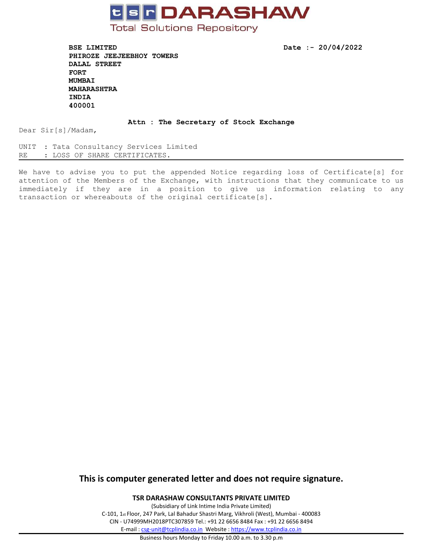

**BSE LIMITED Date :- 20/04/2022 PHIROZE JEEJEEBHOY TOWERS DALAL STREET FORT MUMBAI MAHARASHTRA INDIA 400001**

#### **Attn : The Secretary of Stock Exchange**

Dear Sir[s]/Madam,

UNIT : Tata Consultancy Services Limited RE : LOSS OF SHARE CERTIFICATES.

We have to advise you to put the appended Notice regarding loss of Certificate[s] for attention of the Members of the Exchange, with instructions that they communicate to us immediately if they are in <sup>a</sup> position to give us information relating to any transaction or whereabouts of the original certificate[s].

# **This is computer generated letter and does not require signature.**

**TSR DARASHAW CONSULTANTS PRIVATE LIMITED**

(Subsidiary of Link Intime India Private Limited) C-101, 1st Floor, 247 Park, Lal Bahadur Shastri Marg, Vikhroli (West), Mumbai - 400083 CIN - U74999MH2018PTC307859 Tel.: +91 22 6656 8484 Fax : +91 22 6656 8494 E-mail : [csg-unit@tcplindia.co.in](mailto:csg-unit@tcplindia.co.in) Website : <https://www.tcplindia.co.in>